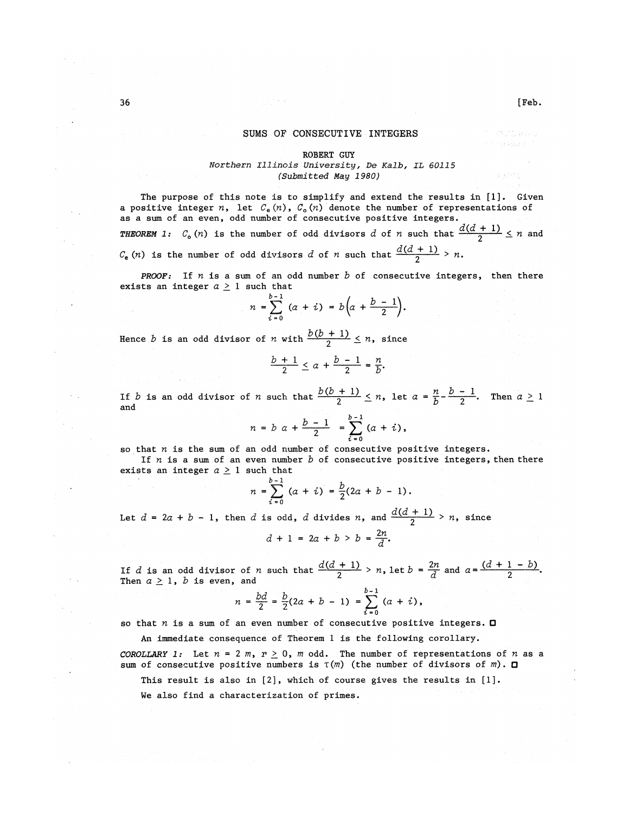## SUMS OF CONSECUTIVE INTEGERS

# ROBERT GUY

*Northern Illinois University, De Kalb, IL 60115 (Submitted May 1980)* 

The purpose of this note is to simplify and extend the results in [1]. Given a positive integer *n*, let  $C_e(n)$ ,  $C_o(n)$  denote the number of representations of as a sum of an even, odd number of consecutive positive integers. *THEOREM* 1:  $C_o(n)$  is the number of odd divisors *d* of *n* such that  $\frac{d(d+1)}{2} \le n$  and  $C_e$  (*n*) is the number of odd divisors *d* of *n* such that  $\frac{d(d+1)}{2} > n$ .

*PROOF:* If  $n$  is a sum of an odd number  $b$  of consecutive integers, then there exists an integer  $a \ge 1$  such that

$$
n = \sum_{i=0}^{b-1} (a + i) = b\left(a + \frac{b-1}{2}\right).
$$

Hence *b* is an odd divisor of *n* with  $\frac{b(b+1)}{2} \leq n$ , since

$$
\frac{b+1}{2}\leq a+\frac{b-1}{2}=\frac{n}{b}.
$$

If *b* is an odd divisor of *n* such that  $\frac{b(b + 1)}{2} \le n$ , let  $a = \frac{n}{b} - \frac{b - 1}{2}$ . Then  $a \ge 1$  and **,** *I — D* **2 —** 

$$
n = b \ \alpha + \frac{b-1}{2} = \sum_{i=0}^{b-1} (a + i),
$$

so that  $n$  is the sum of an odd number of consecutive positive integers. If  $n$  is a sum of an even number  $b$  of consecutive positive integers, then there exists an integer  $a \ge 1$  such that

$$
a = \sum_{i=0}^{b-1} (a + i) = \frac{b}{2}(2a + b - 1).
$$

*n* =  $\sum_{i=0}$  (*a* + *i*) =  $\frac{b}{2}(2a + b - 1)$ .<br>Let *d* = 2*a* + *b* - 1, then *d* is odd, *d* divides *n*, and  $\frac{d(d+1)}{2} > n$ , since

 $d + 1 = 2a + b > b = \frac{2n}{d}$ .

If  $d$  is an odd divisor of  $n$  such that  $\frac{d(d + 1)}{2} > n$ , let  $b = \frac{2n}{d}$  and  $a = \frac{(d + 1 - b)}{2}$ . Then  $a \geq 1$ ,  $b$  is even, and

$$
n = \frac{bd}{2} = \frac{b}{2}(2a + b - 1) = \sum_{i=0}^{b-1} (a + i),
$$

so that  $n$  is a sum of an even number of consecutive positive integers.  $\square$ 

An immediate consequence of Theorem 1 is the following corollary.

*COROLLARY* 1: Let  $n = 2$  m,  $r \ge 0$ , m odd. The number of representations of n as a sum of consecutive positive numbers is *T(m)* (the number of divisors of *m)*. Q

This result is also in [2], which of course gives the results in [1].

We also find a characterization of primes.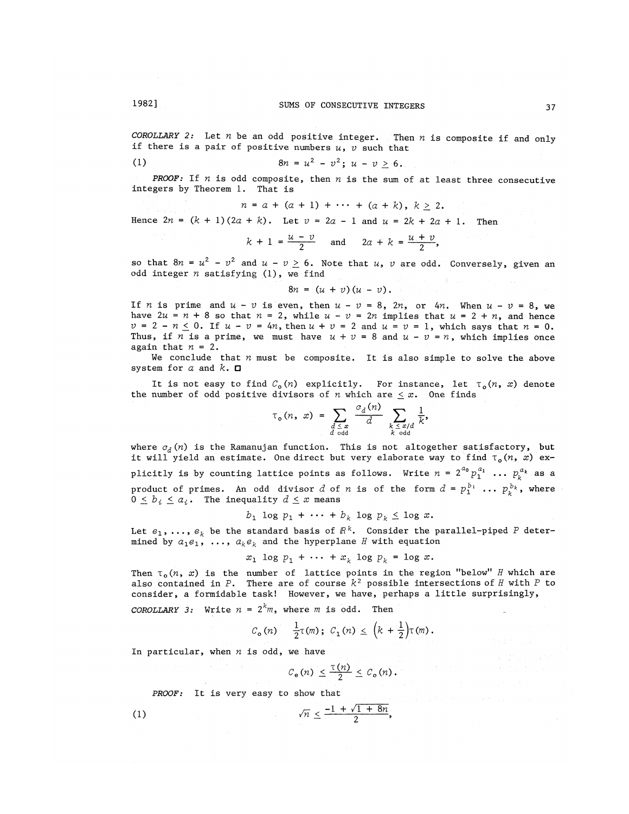*COROLLARY* 2: Let  $n$  be an odd positive integer. Then  $n$  is composite if and only if there is a pair of positive numbers u, *V* such that

(1) 
$$
8n = u^2 - v^2; u - v \ge 6.
$$

**PROOF:** If  $n$  is odd composite, then  $n$  is the sum of at least three consecutive integers by Theorem 1. That is

$$
n = a + (a + 1) + \cdots + (a + k), k \ge 2.
$$

Hence  $2n = (k + 1)(2a + k)$ . Let  $v = 2a - 1$  and  $u = 2k + 2a + 1$ . Then

$$
k + 1 = \frac{u - v}{2} \quad \text{and} \quad 2a + k = \frac{u + v}{2},
$$

so that  $8n = u^2 - v^2$  and  $u - v \ge 6$ . Note that *u*, *v* are odd. Conversely, given an odd integer *n* satisfying (1), we find

 $8n = (u + v)(u - v)$ .

If *n* is prime and  $u - v$  is even, then  $u - v = 8$ , 2*n*, or 4*n*. When  $u - v = 8$ , we have  $2u = n + 8$  so that  $n = 2$ , while  $u - v = 2n$  implies that  $u = 2 + n$ , and hence  $v = 2 - n \le 0$ . If  $u - v = 4n$ , then  $u + v = 2$  and  $u = v = 1$ , which says that  $n = 0$ . Thus, if *n* is a prime, we must have  $u + v = 8$  and  $u - v = n$ , which implies once again that  $n = 2$ .

We conclude that  $n$  must be composite. It is also simple to solve the above system for *a* and *k.* D

It is not easy to find  $C_0(n)$  explicitly. For instance, let  $\tau_o(n, x)$  denote the number of odd positive divisors of *n* which are  $\leq x$ . One finds

$$
\tau_{o}(n, x) = \sum_{\substack{d \leq x \\ d \text{ odd}}} \frac{c_{d}(n)}{d} \sum_{\substack{k \leq x/d \\ k \text{ odd}}} \frac{1}{k},
$$

where  $c_d(n)$  is the Ramanujan function. This is not altogether satisfactory, but it will yield an estimate. One direct but very elaborate way to find  $\tau_o(n, x)$  exit will yield an estimate. One direct but very elaborate way to find T0(ft, *x)* explicitly is by counting lattice points as follows. Write  $n =$  2  $\mathcal{P}_1$  ...  $\mathcal{P}_k$  as a product of primes. An odd divisor *d* of *n* is of the form  $d = p_1^{b_1} \dots p_k^{b_k}$ , where  $0 \leq b_i \leq a_i$ . The inequality  $d \leq x$  means

$$
b_1 \log p_1 + \cdots + b_k \log p_k \leq \log x.
$$

Let  $e_1, \, \dots, \, e_k$  be the standard basis of  $\mathbb{R}^k.$  Consider the parallel-piped  $P$  determined by  $a_1e_1$ , ...,  $a_ke_k$  and the hyperplane *H* with equation

$$
x_1 \log p_1 + \cdots + x_k \log p_k = \log x.
$$

Then  $\tau_0(n, x)$  is the number of lattice points in the region "below" *H* which are also contained in  $P$ . There are of course  $k^2$  possible intersections of  $H$  with  $P$  to consider, a formidable task! However, we have, perhaps a little surprisingly,

*COROLLARY* 3: Write  $n = 2^k m$ , where *m* is odd. Then

$$
C_o(n)
$$
  $\frac{1}{2}\tau(m)$ ;  $C_1(n) \le (k + \frac{1}{2})\tau(m)$ .

In particular, when  $n$  is odd, we have

 $C_e(n) \leq \frac{\tau(n)}{2} \leq C_o(n)$ .

PROOF: It is very easy to show that

$$
\sqrt{n} \leq \frac{-1 + \sqrt{1 + 8n}}{2},
$$